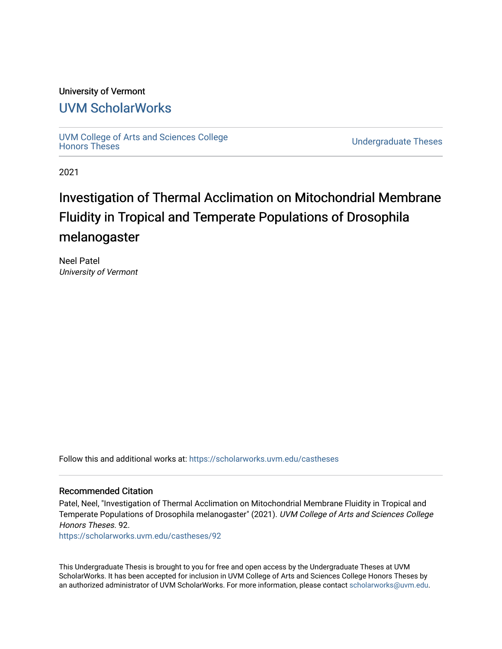# University of Vermont

# [UVM ScholarWorks](https://scholarworks.uvm.edu/)

[UVM College of Arts and Sciences College](https://scholarworks.uvm.edu/castheses)

**Undergraduate Theses** 

2021

# Investigation of Thermal Acclimation on Mitochondrial Membrane Fluidity in Tropical and Temperate Populations of Drosophila melanogaster

Neel Patel University of Vermont

Follow this and additional works at: [https://scholarworks.uvm.edu/castheses](https://scholarworks.uvm.edu/castheses?utm_source=scholarworks.uvm.edu%2Fcastheses%2F92&utm_medium=PDF&utm_campaign=PDFCoverPages)

#### Recommended Citation

Patel, Neel, "Investigation of Thermal Acclimation on Mitochondrial Membrane Fluidity in Tropical and Temperate Populations of Drosophila melanogaster" (2021). UVM College of Arts and Sciences College Honors Theses. 92.

[https://scholarworks.uvm.edu/castheses/92](https://scholarworks.uvm.edu/castheses/92?utm_source=scholarworks.uvm.edu%2Fcastheses%2F92&utm_medium=PDF&utm_campaign=PDFCoverPages) 

This Undergraduate Thesis is brought to you for free and open access by the Undergraduate Theses at UVM ScholarWorks. It has been accepted for inclusion in UVM College of Arts and Sciences College Honors Theses by an authorized administrator of UVM ScholarWorks. For more information, please contact [scholarworks@uvm.edu.](mailto:scholarworks@uvm.edu)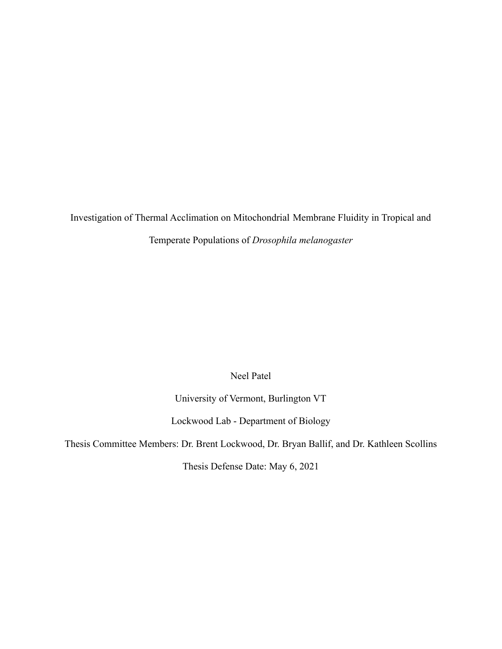Investigation of Thermal Acclimation on Mitochondrial Membrane Fluidity in Tropical and Temperate Populations of *Drosophila melanogaster*

Neel Patel

University of Vermont, Burlington VT

Lockwood Lab - Department of Biology

Thesis Committee Members: Dr. Brent Lockwood, Dr. Bryan Ballif, and Dr. Kathleen Scollins

Thesis Defense Date: May 6, 2021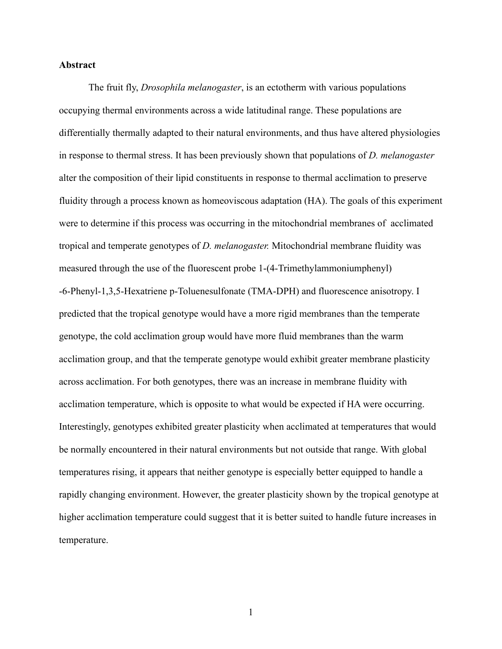#### **Abstract**

The fruit fly, *Drosophila melanogaster*, is an ectotherm with various populations occupying thermal environments across a wide latitudinal range. These populations are differentially thermally adapted to their natural environments, and thus have altered physiologies in response to thermal stress. It has been previously shown that populations of *D. melanogaster* alter the composition of their lipid constituents in response to thermal acclimation to preserve fluidity through a process known as homeoviscous adaptation (HA). The goals of this experiment were to determine if this process was occurring in the mitochondrial membranes of acclimated tropical and temperate genotypes of *D. melanogaster.* Mitochondrial membrane fluidity was measured through the use of the fluorescent probe 1-(4-Trimethylammoniumphenyl) -6-Phenyl-1,3,5-Hexatriene p-Toluenesulfonate (TMA-DPH) and fluorescence anisotropy. I predicted that the tropical genotype would have a more rigid membranes than the temperate genotype, the cold acclimation group would have more fluid membranes than the warm acclimation group, and that the temperate genotype would exhibit greater membrane plasticity across acclimation. For both genotypes, there was an increase in membrane fluidity with acclimation temperature, which is opposite to what would be expected if HA were occurring. Interestingly, genotypes exhibited greater plasticity when acclimated at temperatures that would be normally encountered in their natural environments but not outside that range. With global temperatures rising, it appears that neither genotype is especially better equipped to handle a rapidly changing environment. However, the greater plasticity shown by the tropical genotype at higher acclimation temperature could suggest that it is better suited to handle future increases in temperature.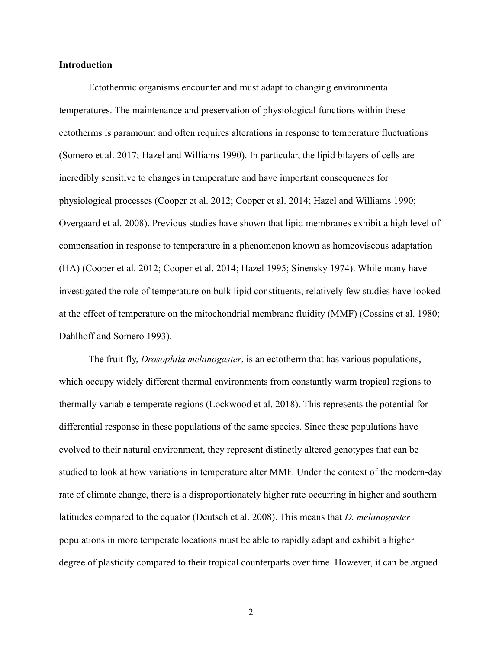#### **Introduction**

Ectothermic organisms encounter and must adapt to changing environmental temperatures. The maintenance and preservation of physiological functions within these ectotherms is paramount and often requires alterations in response to temperature fluctuations (Somero et al. 2017; Hazel and Williams 1990). In particular, the lipid bilayers of cells are incredibly sensitive to changes in temperature and have important consequences for physiological processes (Cooper et al. 2012; Cooper et al. 2014; Hazel and Williams 1990; Overgaard et al. 2008). Previous studies have shown that lipid membranes exhibit a high level of compensation in response to temperature in a phenomenon known as homeoviscous adaptation (HA) (Cooper et al. 2012; Cooper et al. 2014; Hazel 1995; Sinensky 1974). While many have investigated the role of temperature on bulk lipid constituents, relatively few studies have looked at the effect of temperature on the mitochondrial membrane fluidity (MMF) (Cossins et al. 1980; Dahlhoff and Somero 1993).

The fruit fly, *Drosophila melanogaster*, is an ectotherm that has various populations, which occupy widely different thermal environments from constantly warm tropical regions to thermally variable temperate regions (Lockwood et al. 2018). This represents the potential for differential response in these populations of the same species. Since these populations have evolved to their natural environment, they represent distinctly altered genotypes that can be studied to look at how variations in temperature alter MMF. Under the context of the modern-day rate of climate change, there is a disproportionately higher rate occurring in higher and southern latitudes compared to the equator (Deutsch et al. 2008). This means that *D. melanogaster* populations in more temperate locations must be able to rapidly adapt and exhibit a higher degree of plasticity compared to their tropical counterparts over time. However, it can be argued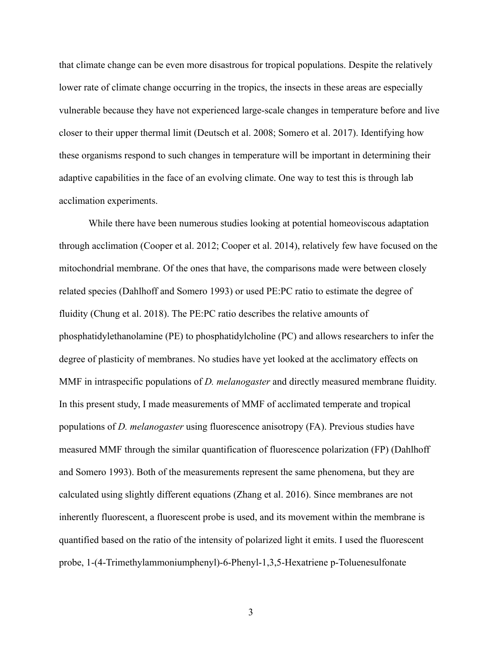that climate change can be even more disastrous for tropical populations. Despite the relatively lower rate of climate change occurring in the tropics, the insects in these areas are especially vulnerable because they have not experienced large-scale changes in temperature before and live closer to their upper thermal limit (Deutsch et al. 2008; Somero et al. 2017). Identifying how these organisms respond to such changes in temperature will be important in determining their adaptive capabilities in the face of an evolving climate. One way to test this is through lab acclimation experiments.

While there have been numerous studies looking at potential homeoviscous adaptation through acclimation (Cooper et al. 2012; Cooper et al. 2014), relatively few have focused on the mitochondrial membrane. Of the ones that have, the comparisons made were between closely related species (Dahlhoff and Somero 1993) or used PE:PC ratio to estimate the degree of fluidity (Chung et al. 2018). The PE:PC ratio describes the relative amounts of phosphatidylethanolamine (PE) to phosphatidylcholine (PC) and allows researchers to infer the degree of plasticity of membranes. No studies have yet looked at the acclimatory effects on MMF in intraspecific populations of *D. melanogaster* and directly measured membrane fluidity. In this present study, I made measurements of MMF of acclimated temperate and tropical populations of *D. melanogaster* using fluorescence anisotropy (FA). Previous studies have measured MMF through the similar quantification of fluorescence polarization (FP) (Dahlhoff and Somero 1993). Both of the measurements represent the same phenomena, but they are calculated using slightly different equations (Zhang et al. 2016). Since membranes are not inherently fluorescent, a fluorescent probe is used, and its movement within the membrane is quantified based on the ratio of the intensity of polarized light it emits. I used the fluorescent probe, 1-(4-Trimethylammoniumphenyl)-6-Phenyl-1,3,5-Hexatriene p-Toluenesulfonate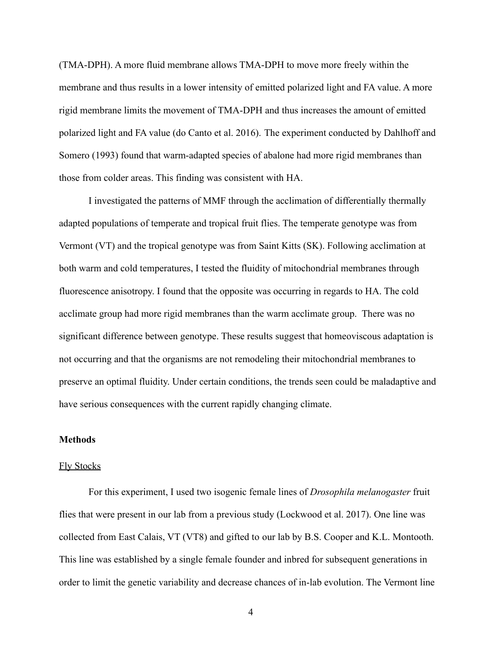(TMA-DPH). A more fluid membrane allows TMA-DPH to move more freely within the membrane and thus results in a lower intensity of emitted polarized light and FA value. A more rigid membrane limits the movement of TMA-DPH and thus increases the amount of emitted polarized light and FA value (do Canto et al. 2016). The experiment conducted by Dahlhoff and Somero (1993) found that warm-adapted species of abalone had more rigid membranes than those from colder areas. This finding was consistent with HA.

I investigated the patterns of MMF through the acclimation of differentially thermally adapted populations of temperate and tropical fruit flies. The temperate genotype was from Vermont (VT) and the tropical genotype was from Saint Kitts (SK). Following acclimation at both warm and cold temperatures, I tested the fluidity of mitochondrial membranes through fluorescence anisotropy. I found that the opposite was occurring in regards to HA. The cold acclimate group had more rigid membranes than the warm acclimate group. There was no significant difference between genotype. These results suggest that homeoviscous adaptation is not occurring and that the organisms are not remodeling their mitochondrial membranes to preserve an optimal fluidity. Under certain conditions, the trends seen could be maladaptive and have serious consequences with the current rapidly changing climate.

#### **Methods**

#### Fly Stocks

For this experiment, I used two isogenic female lines of *Drosophila melanogaster* fruit flies that were present in our lab from a previous study (Lockwood et al. 2017). One line was collected from East Calais, VT (VT8) and gifted to our lab by B.S. Cooper and K.L. Montooth. This line was established by a single female founder and inbred for subsequent generations in order to limit the genetic variability and decrease chances of in-lab evolution. The Vermont line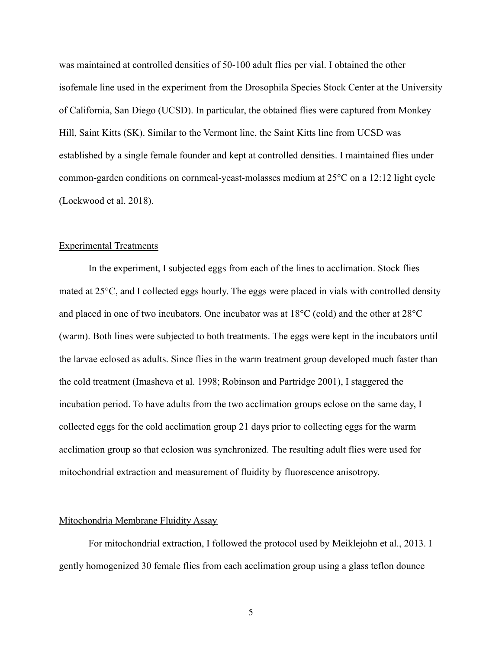was maintained at controlled densities of 50-100 adult flies per vial. I obtained the other isofemale line used in the experiment from the Drosophila Species Stock Center at the University of California, San Diego (UCSD). In particular, the obtained flies were captured from Monkey Hill, Saint Kitts (SK). Similar to the Vermont line, the Saint Kitts line from UCSD was established by a single female founder and kept at controlled densities. I maintained flies under common-garden conditions on cornmeal-yeast-molasses medium at 25°C on a 12:12 light cycle (Lockwood et al. 2018).

#### Experimental Treatments

In the experiment, I subjected eggs from each of the lines to acclimation. Stock flies mated at 25°C, and I collected eggs hourly. The eggs were placed in vials with controlled density and placed in one of two incubators. One incubator was at 18°C (cold) and the other at 28°C (warm). Both lines were subjected to both treatments. The eggs were kept in the incubators until the larvae eclosed as adults. Since flies in the warm treatment group developed much faster than the cold treatment (Imasheva et al. 1998; Robinson and Partridge 2001), I staggered the incubation period. To have adults from the two acclimation groups eclose on the same day, I collected eggs for the cold acclimation group 21 days prior to collecting eggs for the warm acclimation group so that eclosion was synchronized. The resulting adult flies were used for mitochondrial extraction and measurement of fluidity by fluorescence anisotropy.

#### Mitochondria Membrane Fluidity Assay

For mitochondrial extraction, I followed the protocol used by Meiklejohn et al., 2013. I gently homogenized 30 female flies from each acclimation group using a glass teflon dounce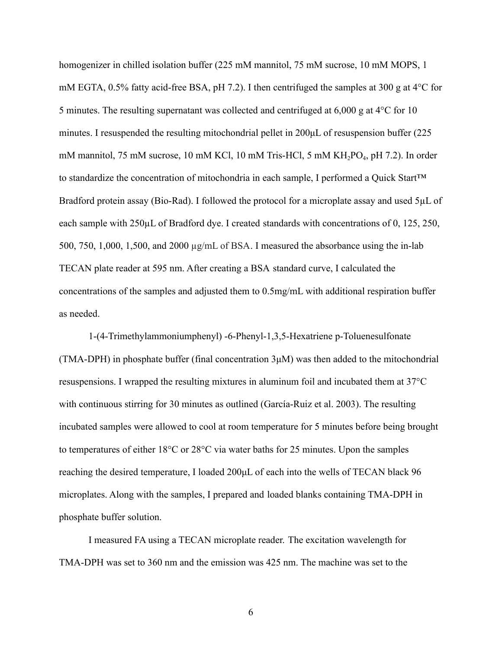homogenizer in chilled isolation buffer (225 mM mannitol, 75 mM sucrose, 10 mM MOPS, 1 mM EGTA, 0.5% fatty acid-free BSA, pH 7.2). I then centrifuged the samples at 300 g at 4°C for 5 minutes. The resulting supernatant was collected and centrifuged at 6,000 g at 4°C for 10 minutes. I resuspended the resulting mitochondrial pellet in 200μL of resuspension buffer (225 mM mannitol, 75 mM sucrose, 10 mM KCl, 10 mM Tris-HCl, 5 mM KH<sub>2</sub>PO<sub>4</sub>, pH 7.2). In order to standardize the concentration of mitochondria in each sample, I performed a Quick Start™ Bradford protein assay (Bio-Rad). I followed the protocol for a microplate assay and used 5µL of each sample with 250µL of Bradford dye. I created standards with concentrations of 0, 125, 250, 500, 750, 1,000, 1,500, and 2000 µg/mL of BSA. I measured the absorbance using the in-lab TECAN plate reader at 595 nm. After creating a BSA standard curve, I calculated the concentrations of the samples and adjusted them to 0.5mg/mL with additional respiration buffer as needed.

1-(4-Trimethylammoniumphenyl) -6-Phenyl-1,3,5-Hexatriene p-Toluenesulfonate (TMA-DPH) in phosphate buffer (final concentration 3μM) was then added to the mitochondrial resuspensions. I wrapped the resulting mixtures in aluminum foil and incubated them at 37°C with continuous stirring for 30 minutes as outlined (García-Ruiz et al. 2003). The resulting incubated samples were allowed to cool at room temperature for 5 minutes before being brought to temperatures of either 18°C or 28°C via water baths for 25 minutes. Upon the samples reaching the desired temperature, I loaded 200μL of each into the wells of TECAN black 96 microplates. Along with the samples, I prepared and loaded blanks containing TMA-DPH in phosphate buffer solution.

I measured FA using a TECAN microplate reader. The excitation wavelength for TMA-DPH was set to 360 nm and the emission was 425 nm. The machine was set to the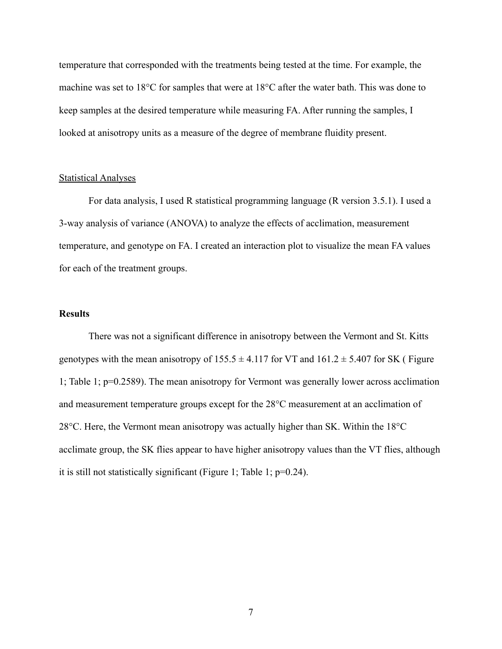temperature that corresponded with the treatments being tested at the time. For example, the machine was set to 18°C for samples that were at 18°C after the water bath. This was done to keep samples at the desired temperature while measuring FA. After running the samples, I looked at anisotropy units as a measure of the degree of membrane fluidity present.

#### Statistical Analyses

For data analysis, I used R statistical programming language (R version 3.5.1). I used a 3-way analysis of variance (ANOVA) to analyze the effects of acclimation, measurement temperature, and genotype on FA. I created an interaction plot to visualize the mean FA values for each of the treatment groups.

### **Results**

There was not a significant difference in anisotropy between the Vermont and St. Kitts genotypes with the mean anisotropy of  $155.5 \pm 4.117$  for VT and  $161.2 \pm 5.407$  for SK (Figure 1; Table 1; p=0.2589). The mean anisotropy for Vermont was generally lower across acclimation and measurement temperature groups except for the 28°C measurement at an acclimation of 28°C. Here, the Vermont mean anisotropy was actually higher than SK. Within the 18°C acclimate group, the SK flies appear to have higher anisotropy values than the VT flies, although it is still not statistically significant (Figure 1; Table 1; p=0.24).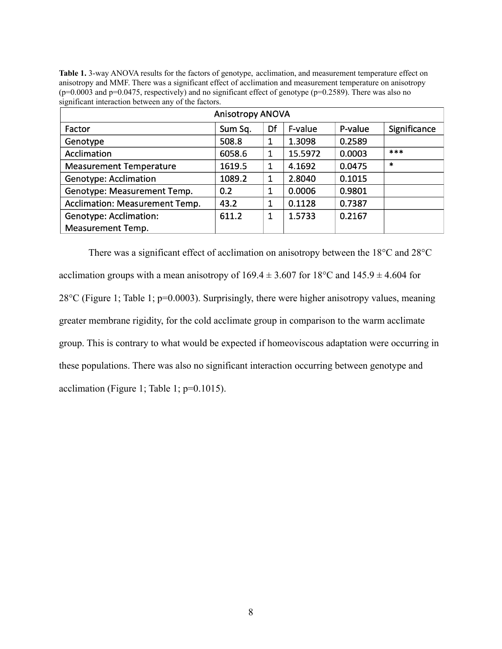**Table 1.** 3-way ANOVA results for the factors of genotype, acclimation, and measurement temperature effect on anisotropy and MMF. There was a significant effect of acclimation and measurement temperature on anisotropy (p=0.0003 and p=0.0475, respectively) and no significant effect of genotype (p=0.2589). There was also no significant interaction between any of the factors.

| <b>Anisotropy ANOVA</b>               |         |    |         |         |              |
|---------------------------------------|---------|----|---------|---------|--------------|
| Factor                                | Sum Sq. | Df | F-value | P-value | Significance |
| Genotype                              | 508.8   |    | 1.3098  | 0.2589  |              |
| Acclimation                           | 6058.6  | 1  | 15.5972 | 0.0003  | ***          |
| <b>Measurement Temperature</b>        | 1619.5  | 1  | 4.1692  | 0.0475  | $\ast$       |
| <b>Genotype: Acclimation</b>          | 1089.2  | 1  | 2.8040  | 0.1015  |              |
| Genotype: Measurement Temp.           | 0.2     |    | 0.0006  | 0.9801  |              |
| <b>Acclimation: Measurement Temp.</b> | 43.2    |    | 0.1128  | 0.7387  |              |
| <b>Genotype: Acclimation:</b>         | 611.2   | 1  | 1.5733  | 0.2167  |              |
| <b>Measurement Temp.</b>              |         |    |         |         |              |

There was a significant effect of acclimation on anisotropy between the 18°C and 28°C acclimation groups with a mean anisotropy of  $169.4 \pm 3.607$  for  $18^{\circ}$ C and  $145.9 \pm 4.604$  for 28°C (Figure 1; Table 1; p=0.0003). Surprisingly, there were higher anisotropy values, meaning greater membrane rigidity, for the cold acclimate group in comparison to the warm acclimate group. This is contrary to what would be expected if homeoviscous adaptation were occurring in these populations. There was also no significant interaction occurring between genotype and acclimation (Figure 1; Table 1; p=0.1015).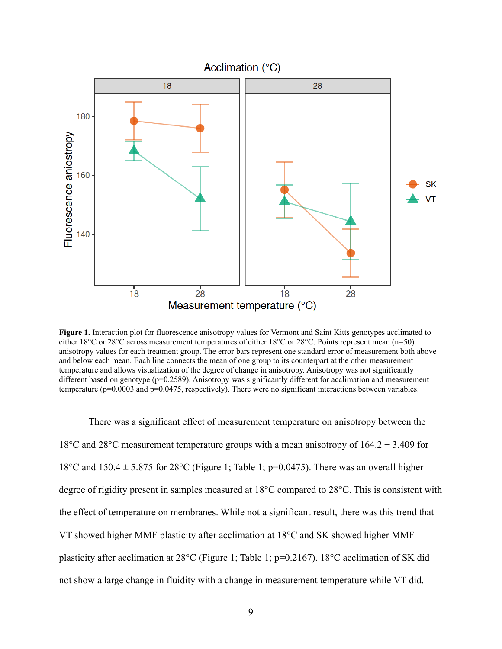

**Figure 1.** Interaction plot for fluorescence anisotropy values for Vermont and Saint Kitts genotypes acclimated to either 18°C or 28°C across measurement temperatures of either 18°C or 28°C. Points represent mean (n=50) anisotropy values for each treatment group. The error bars represent one standard error of measurement both above and below each mean. Each line connects the mean of one group to its counterpart at the other measurement temperature and allows visualization of the degree of change in anisotropy. Anisotropy was not significantly different based on genotype (p=0.2589). Anisotropy was significantly different for acclimation and measurement temperature ( $p=0.0003$  and  $p=0.0475$ , respectively). There were no significant interactions between variables.

There was a significant effect of measurement temperature on anisotropy between the 18°C and 28°C measurement temperature groups with a mean anisotropy of  $164.2 \pm 3.409$  for 18°C and 150.4  $\pm$  5.875 for 28°C (Figure 1; Table 1; p=0.0475). There was an overall higher degree of rigidity present in samples measured at 18°C compared to 28°C. This is consistent with the effect of temperature on membranes. While not a significant result, there was this trend that VT showed higher MMF plasticity after acclimation at 18°C and SK showed higher MMF plasticity after acclimation at 28°C (Figure 1; Table 1; p=0.2167). 18°C acclimation of SK did not show a large change in fluidity with a change in measurement temperature while VT did.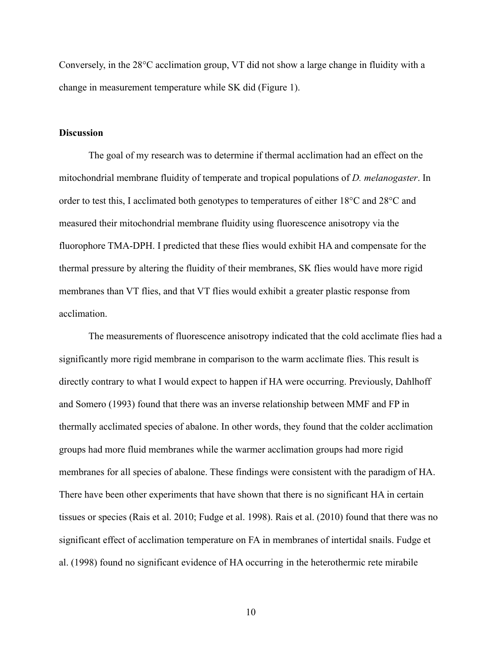Conversely, in the 28°C acclimation group, VT did not show a large change in fluidity with a change in measurement temperature while SK did (Figure 1).

#### **Discussion**

The goal of my research was to determine if thermal acclimation had an effect on the mitochondrial membrane fluidity of temperate and tropical populations of *D. melanogaster*. In order to test this, I acclimated both genotypes to temperatures of either 18°C and 28°C and measured their mitochondrial membrane fluidity using fluorescence anisotropy via the fluorophore TMA-DPH. I predicted that these flies would exhibit HA and compensate for the thermal pressure by altering the fluidity of their membranes, SK flies would have more rigid membranes than VT flies, and that VT flies would exhibit a greater plastic response from acclimation.

The measurements of fluorescence anisotropy indicated that the cold acclimate flies had a significantly more rigid membrane in comparison to the warm acclimate flies. This result is directly contrary to what I would expect to happen if HA were occurring. Previously, Dahlhoff and Somero (1993) found that there was an inverse relationship between MMF and FP in thermally acclimated species of abalone. In other words, they found that the colder acclimation groups had more fluid membranes while the warmer acclimation groups had more rigid membranes for all species of abalone. These findings were consistent with the paradigm of HA. There have been other experiments that have shown that there is no significant HA in certain tissues or species (Rais et al. 2010; Fudge et al. 1998). Rais et al. (2010) found that there was no significant effect of acclimation temperature on FA in membranes of intertidal snails. Fudge et al. (1998) found no significant evidence of HA occurring in the heterothermic rete mirabile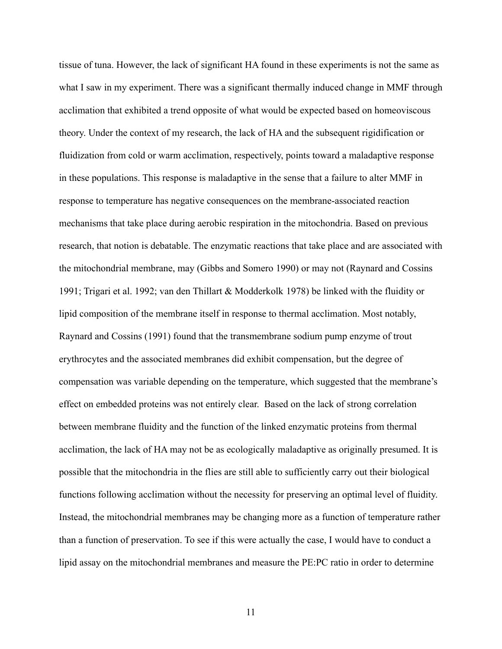tissue of tuna. However, the lack of significant HA found in these experiments is not the same as what I saw in my experiment. There was a significant thermally induced change in MMF through acclimation that exhibited a trend opposite of what would be expected based on homeoviscous theory. Under the context of my research, the lack of HA and the subsequent rigidification or fluidization from cold or warm acclimation, respectively, points toward a maladaptive response in these populations. This response is maladaptive in the sense that a failure to alter MMF in response to temperature has negative consequences on the membrane-associated reaction mechanisms that take place during aerobic respiration in the mitochondria. Based on previous research, that notion is debatable. The enzymatic reactions that take place and are associated with the mitochondrial membrane, may (Gibbs and Somero 1990) or may not (Raynard and Cossins 1991; Trigari et al. 1992; van den Thillart & Modderkolk 1978) be linked with the fluidity or lipid composition of the membrane itself in response to thermal acclimation. Most notably, Raynard and Cossins (1991) found that the transmembrane sodium pump enzyme of trout erythrocytes and the associated membranes did exhibit compensation, but the degree of compensation was variable depending on the temperature, which suggested that the membrane's effect on embedded proteins was not entirely clear. Based on the lack of strong correlation between membrane fluidity and the function of the linked enzymatic proteins from thermal acclimation, the lack of HA may not be as ecologically maladaptive as originally presumed. It is possible that the mitochondria in the flies are still able to sufficiently carry out their biological functions following acclimation without the necessity for preserving an optimal level of fluidity. Instead, the mitochondrial membranes may be changing more as a function of temperature rather than a function of preservation. To see if this were actually the case, I would have to conduct a lipid assay on the mitochondrial membranes and measure the PE:PC ratio in order to determine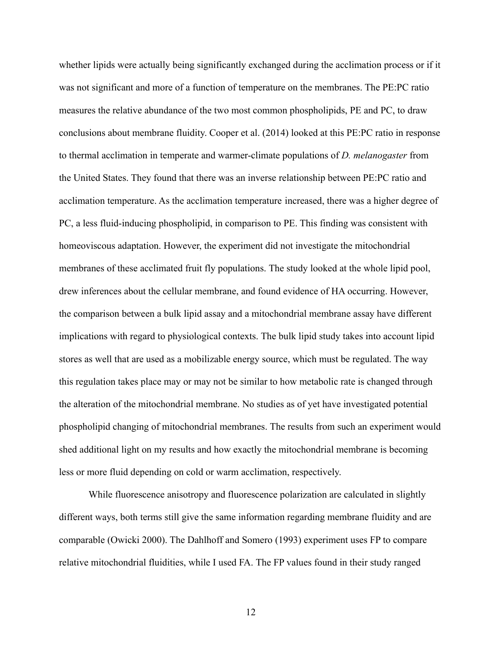whether lipids were actually being significantly exchanged during the acclimation process or if it was not significant and more of a function of temperature on the membranes. The PE:PC ratio measures the relative abundance of the two most common phospholipids, PE and PC, to draw conclusions about membrane fluidity. Cooper et al. (2014) looked at this PE:PC ratio in response to thermal acclimation in temperate and warmer-climate populations of *D. melanogaster* from the United States. They found that there was an inverse relationship between PE:PC ratio and acclimation temperature. As the acclimation temperature increased, there was a higher degree of PC, a less fluid-inducing phospholipid, in comparison to PE. This finding was consistent with homeoviscous adaptation. However, the experiment did not investigate the mitochondrial membranes of these acclimated fruit fly populations. The study looked at the whole lipid pool, drew inferences about the cellular membrane, and found evidence of HA occurring. However, the comparison between a bulk lipid assay and a mitochondrial membrane assay have different implications with regard to physiological contexts. The bulk lipid study takes into account lipid stores as well that are used as a mobilizable energy source, which must be regulated. The way this regulation takes place may or may not be similar to how metabolic rate is changed through the alteration of the mitochondrial membrane. No studies as of yet have investigated potential phospholipid changing of mitochondrial membranes. The results from such an experiment would shed additional light on my results and how exactly the mitochondrial membrane is becoming less or more fluid depending on cold or warm acclimation, respectively.

While fluorescence anisotropy and fluorescence polarization are calculated in slightly different ways, both terms still give the same information regarding membrane fluidity and are comparable (Owicki 2000). The Dahlhoff and Somero (1993) experiment uses FP to compare relative mitochondrial fluidities, while I used FA. The FP values found in their study ranged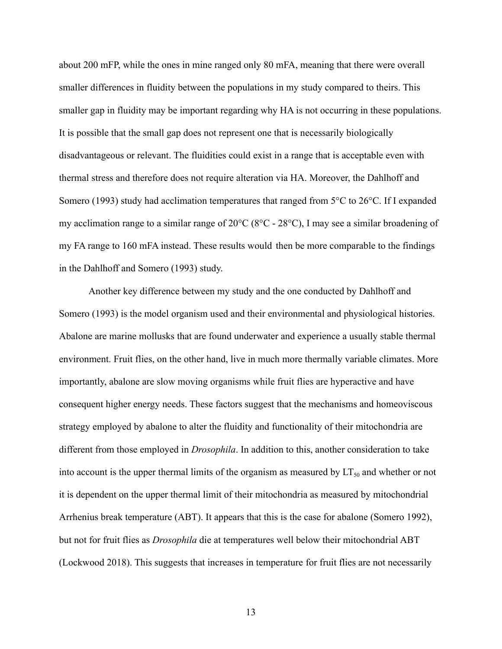about 200 mFP, while the ones in mine ranged only 80 mFA, meaning that there were overall smaller differences in fluidity between the populations in my study compared to theirs. This smaller gap in fluidity may be important regarding why HA is not occurring in these populations. It is possible that the small gap does not represent one that is necessarily biologically disadvantageous or relevant. The fluidities could exist in a range that is acceptable even with thermal stress and therefore does not require alteration via HA. Moreover, the Dahlhoff and Somero (1993) study had acclimation temperatures that ranged from 5°C to 26°C. If I expanded my acclimation range to a similar range of 20°C (8°C - 28°C), I may see a similar broadening of my FA range to 160 mFA instead. These results would then be more comparable to the findings in the Dahlhoff and Somero (1993) study.

Another key difference between my study and the one conducted by Dahlhoff and Somero (1993) is the model organism used and their environmental and physiological histories. Abalone are marine mollusks that are found underwater and experience a usually stable thermal environment. Fruit flies, on the other hand, live in much more thermally variable climates. More importantly, abalone are slow moving organisms while fruit flies are hyperactive and have consequent higher energy needs. These factors suggest that the mechanisms and homeoviscous strategy employed by abalone to alter the fluidity and functionality of their mitochondria are different from those employed in *Drosophila*. In addition to this, another consideration to take into account is the upper thermal limits of the organism as measured by  $LT_{50}$  and whether or not it is dependent on the upper thermal limit of their mitochondria as measured by mitochondrial Arrhenius break temperature (ABT). It appears that this is the case for abalone (Somero 1992), but not for fruit flies as *Drosophila* die at temperatures well below their mitochondrial ABT (Lockwood 2018). This suggests that increases in temperature for fruit flies are not necessarily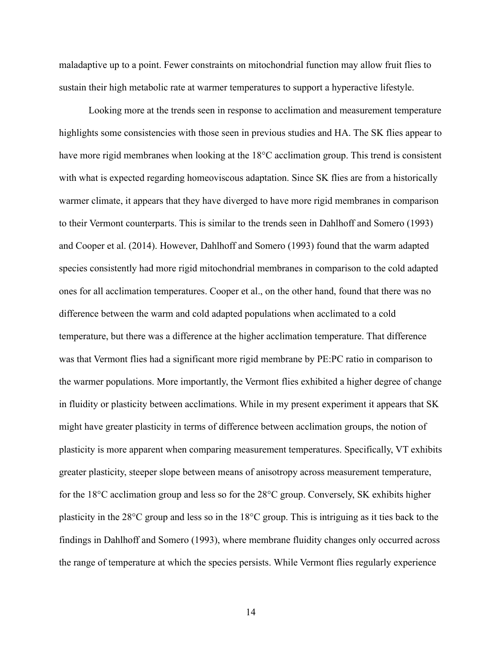maladaptive up to a point. Fewer constraints on mitochondrial function may allow fruit flies to sustain their high metabolic rate at warmer temperatures to support a hyperactive lifestyle.

Looking more at the trends seen in response to acclimation and measurement temperature highlights some consistencies with those seen in previous studies and HA. The SK flies appear to have more rigid membranes when looking at the 18°C acclimation group. This trend is consistent with what is expected regarding homeoviscous adaptation. Since SK flies are from a historically warmer climate, it appears that they have diverged to have more rigid membranes in comparison to their Vermont counterparts. This is similar to the trends seen in Dahlhoff and Somero (1993) and Cooper et al. (2014). However, Dahlhoff and Somero (1993) found that the warm adapted species consistently had more rigid mitochondrial membranes in comparison to the cold adapted ones for all acclimation temperatures. Cooper et al., on the other hand, found that there was no difference between the warm and cold adapted populations when acclimated to a cold temperature, but there was a difference at the higher acclimation temperature. That difference was that Vermont flies had a significant more rigid membrane by PE:PC ratio in comparison to the warmer populations. More importantly, the Vermont flies exhibited a higher degree of change in fluidity or plasticity between acclimations. While in my present experiment it appears that SK might have greater plasticity in terms of difference between acclimation groups, the notion of plasticity is more apparent when comparing measurement temperatures. Specifically, VT exhibits greater plasticity, steeper slope between means of anisotropy across measurement temperature, for the 18°C acclimation group and less so for the 28°C group. Conversely, SK exhibits higher plasticity in the 28°C group and less so in the 18°C group. This is intriguing as it ties back to the findings in Dahlhoff and Somero (1993), where membrane fluidity changes only occurred across the range of temperature at which the species persists. While Vermont flies regularly experience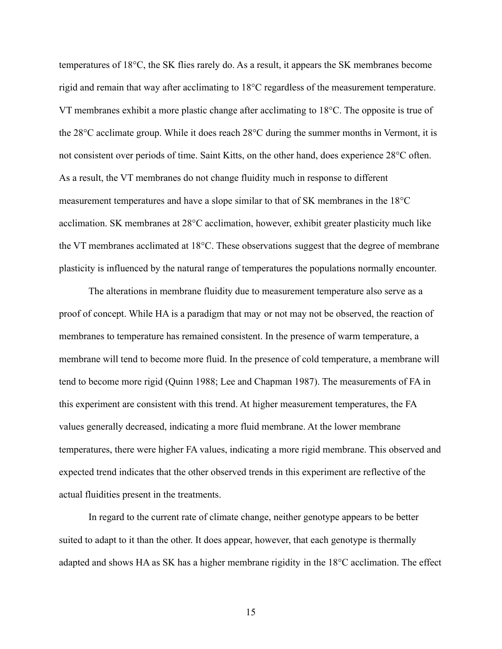temperatures of 18°C, the SK flies rarely do. As a result, it appears the SK membranes become rigid and remain that way after acclimating to 18°C regardless of the measurement temperature. VT membranes exhibit a more plastic change after acclimating to 18°C. The opposite is true of the 28°C acclimate group. While it does reach 28°C during the summer months in Vermont, it is not consistent over periods of time. Saint Kitts, on the other hand, does experience 28°C often. As a result, the VT membranes do not change fluidity much in response to different measurement temperatures and have a slope similar to that of SK membranes in the 18°C acclimation. SK membranes at 28°C acclimation, however, exhibit greater plasticity much like the VT membranes acclimated at 18°C. These observations suggest that the degree of membrane plasticity is influenced by the natural range of temperatures the populations normally encounter.

The alterations in membrane fluidity due to measurement temperature also serve as a proof of concept. While HA is a paradigm that may or not may not be observed, the reaction of membranes to temperature has remained consistent. In the presence of warm temperature, a membrane will tend to become more fluid. In the presence of cold temperature, a membrane will tend to become more rigid (Quinn 1988; Lee and Chapman 1987). The measurements of FA in this experiment are consistent with this trend. At higher measurement temperatures, the FA values generally decreased, indicating a more fluid membrane. At the lower membrane temperatures, there were higher FA values, indicating a more rigid membrane. This observed and expected trend indicates that the other observed trends in this experiment are reflective of the actual fluidities present in the treatments.

In regard to the current rate of climate change, neither genotype appears to be better suited to adapt to it than the other. It does appear, however, that each genotype is thermally adapted and shows HA as SK has a higher membrane rigidity in the 18°C acclimation. The effect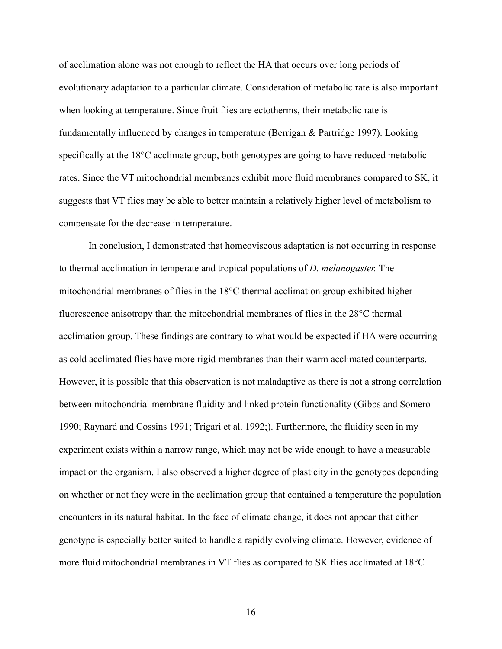of acclimation alone was not enough to reflect the HA that occurs over long periods of evolutionary adaptation to a particular climate. Consideration of metabolic rate is also important when looking at temperature. Since fruit flies are ectotherms, their metabolic rate is fundamentally influenced by changes in temperature (Berrigan & Partridge 1997). Looking specifically at the 18°C acclimate group, both genotypes are going to have reduced metabolic rates. Since the VT mitochondrial membranes exhibit more fluid membranes compared to SK, it suggests that VT flies may be able to better maintain a relatively higher level of metabolism to compensate for the decrease in temperature.

In conclusion, I demonstrated that homeoviscous adaptation is not occurring in response to thermal acclimation in temperate and tropical populations of *D. melanogaster.* The mitochondrial membranes of flies in the 18°C thermal acclimation group exhibited higher fluorescence anisotropy than the mitochondrial membranes of flies in the 28°C thermal acclimation group. These findings are contrary to what would be expected if HA were occurring as cold acclimated flies have more rigid membranes than their warm acclimated counterparts. However, it is possible that this observation is not maladaptive as there is not a strong correlation between mitochondrial membrane fluidity and linked protein functionality (Gibbs and Somero 1990; Raynard and Cossins 1991; Trigari et al. 1992;). Furthermore, the fluidity seen in my experiment exists within a narrow range, which may not be wide enough to have a measurable impact on the organism. I also observed a higher degree of plasticity in the genotypes depending on whether or not they were in the acclimation group that contained a temperature the population encounters in its natural habitat. In the face of climate change, it does not appear that either genotype is especially better suited to handle a rapidly evolving climate. However, evidence of more fluid mitochondrial membranes in VT flies as compared to SK flies acclimated at 18°C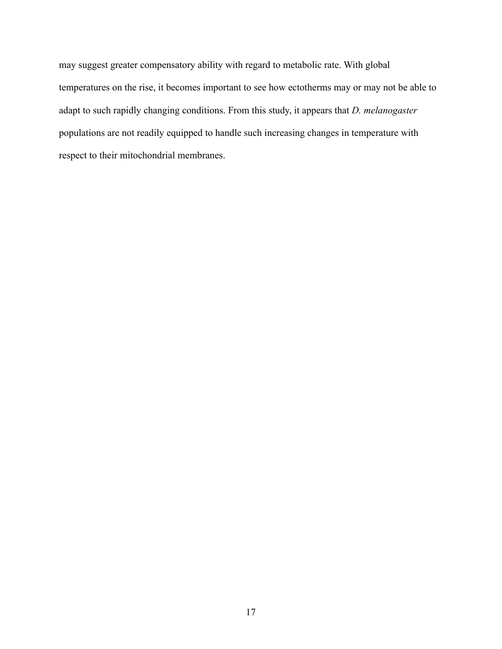may suggest greater compensatory ability with regard to metabolic rate. With global temperatures on the rise, it becomes important to see how ectotherms may or may not be able to adapt to such rapidly changing conditions. From this study, it appears that *D. melanogaster* populations are not readily equipped to handle such increasing changes in temperature with respect to their mitochondrial membranes.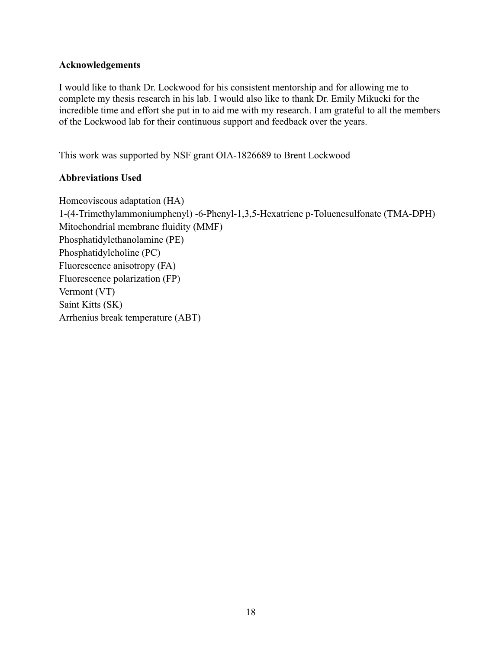## **Acknowledgements**

I would like to thank Dr. Lockwood for his consistent mentorship and for allowing me to complete my thesis research in his lab. I would also like to thank Dr. Emily Mikucki for the incredible time and effort she put in to aid me with my research. I am grateful to all the members of the Lockwood lab for their continuous support and feedback over the years.

This work was supported by NSF grant OIA-1826689 to Brent Lockwood

# **Abbreviations Used**

Homeoviscous adaptation (HA) 1-(4-Trimethylammoniumphenyl) -6-Phenyl-1,3,5-Hexatriene p-Toluenesulfonate (TMA-DPH) Mitochondrial membrane fluidity (MMF) Phosphatidylethanolamine (PE) Phosphatidylcholine (PC) Fluorescence anisotropy (FA) Fluorescence polarization (FP) Vermont (VT) Saint Kitts (SK) Arrhenius break temperature (ABT)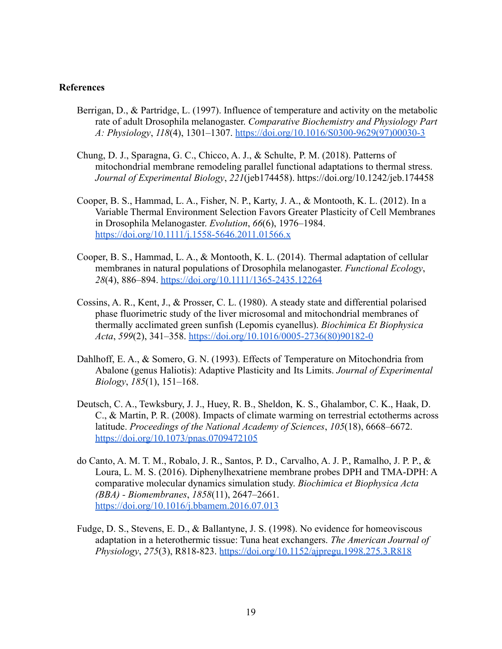#### **References**

- Berrigan, D., & Partridge, L. (1997). Influence of temperature and activity on the metabolic rate of adult Drosophila melanogaster. *Comparative Biochemistry and Physiology Part A: Physiology*, *118*(4), 1301–1307. [https://doi.org/10.1016/S0300-9629\(97\)00030-3](https://doi.org/10.1016/S0300-9629(97)00030-3)
- Chung, D. J., Sparagna, G. C., Chicco, A. J., & Schulte, P. M. (2018). Patterns of mitochondrial membrane remodeling parallel functional adaptations to thermal stress. *Journal of Experimental Biology*, *221*(jeb174458). <https://doi.org/10.1242/jeb.174458>
- Cooper, B. S., Hammad, L. A., Fisher, N. P., Karty, J. A., & Montooth, K. L. (2012). In a Variable Thermal Environment Selection Favors Greater Plasticity of Cell Membranes in Drosophila Melanogaster. *Evolution*, *66*(6), 1976–1984[.](https://doi.org/10.1111/j.1558-5646.2011.01566.x) <https://doi.org/10.1111/j.1558-5646.2011.01566.x>
- Cooper, B. S., Hammad, L. A., & Montooth, K. L. (2014). Thermal adaptation of cellular membranes in natural populations of Drosophila melanogaster. *Functional Ecology*, *28*(4), 886–894. <https://doi.org/10.1111/1365-2435.12264>
- Cossins, A. R., Kent, J., & Prosser, C. L. (1980). A steady state and differential polarised phase fluorimetric study of the liver microsomal and mitochondrial membranes of thermally acclimated green sunfish (Lepomis cyanellus). *Biochimica Et Biophysica Acta*, *599*(2), 341–358. [https://doi.org/10.1016/0005-2736\(80\)90182-0](https://doi.org/10.1016/0005-2736(80)90182-0)
- Dahlhoff, E. A., & Somero, G. N. (1993). Effects of Temperature on Mitochondria from Abalone (genus Haliotis): Adaptive Plasticity and Its Limits. *Journal of Experimental Biology*, *185*(1), 151–168.
- Deutsch, C. A., Tewksbury, J. J., Huey, R. B., Sheldon, K. S., Ghalambor, C. K., Haak, D. C., & Martin, P. R. (2008). Impacts of climate warming on terrestrial ectotherms across latitude. *Proceedings of the National Academy of Sciences*, *105*(18), 6668–6672[.](https://doi.org/10.1073/pnas.0709472105) <https://doi.org/10.1073/pnas.0709472105>
- do Canto, A. M. T. M., Robalo, J. R., Santos, P. D., Carvalho, A. J. P., Ramalho, J. P. P., & Loura, L. M. S. (2016). Diphenylhexatriene membrane probes DPH and TMA-DPH: A comparative molecular dynamics simulation st[u](https://doi.org/10.1016/j.bbamem.2016.07.013)dy. *Biochimica et Biophysica Acta (BBA) - Biomembranes*, *1858*(11), 2647–2661. <https://doi.org/10.1016/j.bbamem.2016.07.013>
- Fudge, D. S., Stevens, E. D., & Ballantyne, J. S. (1998). No evidence for homeoviscous adaptation in a heterothermic tissue: Tuna heat exchangers. *The American Journal of Physiology*, *275*(3), R818-823. <https://doi.org/10.1152/ajpregu.1998.275.3.R818>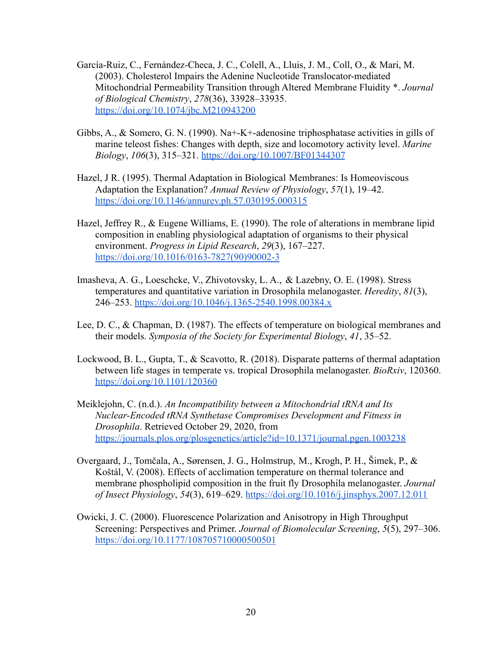- García-Ruiz, C., Fernández-Checa, J. C., Colell, A., Lluis, J. M., Coll, O., & Mari, M. (2003). Cholesterol Impairs the Adenine Nucleotide Translocator-mediated Mitochondrial Permeability Transition through [Al](https://doi.org/10.1074/jbc.M210943200)tered Membrane Fluidity \*. *Journal of Biological Chemistry*, *278*(36), 33928–33935. <https://doi.org/10.1074/jbc.M210943200>
- Gibbs, A., & Somero, G. N. (1990). Na+-K+-adenosine triphosphatase activities in gills of marine teleost fishes: Changes with depth, size and locomotory activity level. *Marine Biology*, *106*(3), 315–321. <https://doi.org/10.1007/BF01344307>
- Hazel, J R. (1995). Thermal Adaptation in Biological Membranes: Is Homeoviscous Adaptation the Explanation? *Annual Review of Physiology*, *57*(1), 19–42[.](https://doi.org/10.1146/annurev.ph.57.030195.000315) <https://doi.org/10.1146/annurev.ph.57.030195.000315>
- Hazel, Jeffrey R., & Eugene Williams, E. (1990). The role of alterations in membrane lipid composition in enabling physiological adaptation of organisms to their physical environment. *Progress in Lipid Research*, *29*(3), 167–227[.](https://doi.org/10.1016/0163-7827(90)90002-3) [https://doi.org/10.1016/0163-7827\(90\)90002-3](https://doi.org/10.1016/0163-7827(90)90002-3)
- Imasheva, A. G., Loeschcke, V., Zhivotovsky, L. A., & Lazebny, O. E. (1998). Stress temperatures and quantitative variation in Drosophila melanogaster. *Heredity*, *81*(3), 246–253. <https://doi.org/10.1046/j.1365-2540.1998.00384.x>
- Lee, D. C., & Chapman, D. (1987). The effects of temperature on biological membranes and their models. *Symposia of the Society for Experimental Biology*, *41*, 35–52.
- Lockwood, B. L., Gupta, T., & Scavotto, R. (2018). Disparate patterns of thermal adaptation between life stages in temperate vs. tropical Drosophila melanogaster. *BioRxiv*, 120360[.](https://doi.org/10.1101/120360) <https://doi.org/10.1101/120360>
- Meiklejohn, C. (n.d.). *An Incompatibility between a Mitochondrial tRNA and Its Nuclear-Encoded tRNA Synthetase Compromises Development and Fitness in Drosophila*. Retrieved October 29, 2020, from <https://journals.plos.org/plosgenetics/article?id=10.1371/journal.pgen.1003238>
- Overgaard, J., Tomčala, A., Sørensen, J. G., Holmstrup, M., Krogh, P. H., Šimek, P., & Koštál, V. (2008). Effects of acclimation temperature on thermal tolerance and membrane phospholipid composition in the fruit fly Drosophila melanogaster. *Journal of Insect Physiology*, *54*(3), 619–629. <https://doi.org/10.1016/j.jinsphys.2007.12.011>
- Owicki, J. C. (2000). Fluorescence Polarization and Anisotropy in High Throughput Screening: Perspectives and Primer. *Journal of Biomolecular Screening*, *5*(5), 297–306[.](https://doi.org/10.1177/108705710000500501) <https://doi.org/10.1177/108705710000500501>